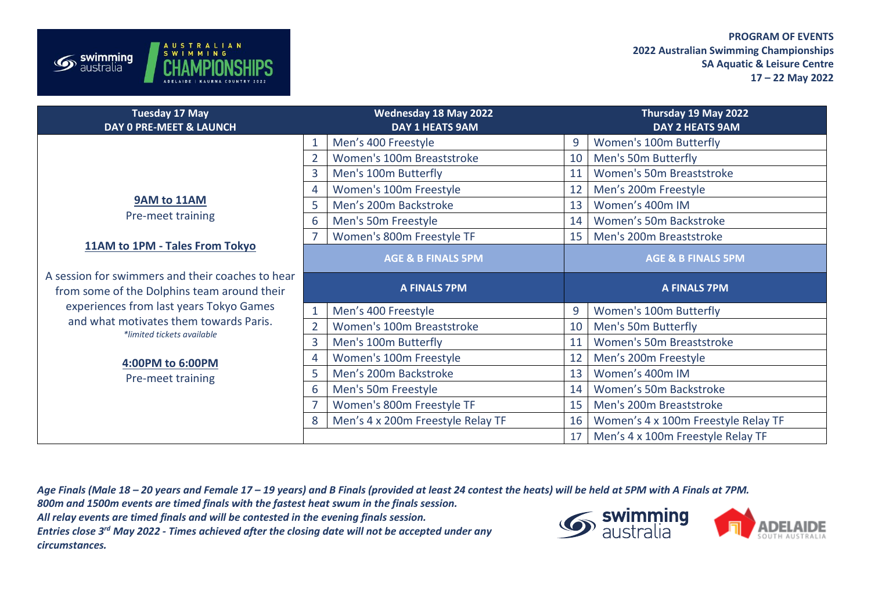## **PROGRAM OF EVENTS 2022 Australian Swimming Championships SA Aquatic & Leisure Centre 17 – 22 May 2022**

| <b>Tuesday 17 May</b><br><b>DAY 0 PRE-MEET &amp; LAUNCH</b>                                     |                               | <b>Wednesday 18 May 2022</b><br><b>DAY 1 HEATS 9AM</b> |                               | Thursday 19 May 2022<br>DAY 2 HEATS 9AM |
|-------------------------------------------------------------------------------------------------|-------------------------------|--------------------------------------------------------|-------------------------------|-----------------------------------------|
|                                                                                                 | 1                             | Men's 400 Freestyle                                    | 9                             | Women's 100m Butterfly                  |
|                                                                                                 | $\overline{2}$                | Women's 100m Breaststroke                              | 10                            | Men's 50m Butterfly                     |
|                                                                                                 | 3                             | Men's 100m Butterfly                                   | 11                            | Women's 50m Breaststroke                |
|                                                                                                 | 4                             | Women's 100m Freestyle                                 | 12                            | Men's 200m Freestyle                    |
| 9AM to 11AM<br>Pre-meet training                                                                | 5                             | Men's 200m Backstroke                                  | 13                            | Women's 400m IM                         |
|                                                                                                 | 6                             | Men's 50m Freestyle                                    | 14                            | Women's 50m Backstroke                  |
|                                                                                                 | $\overline{7}$                | Women's 800m Freestyle TF                              | 15                            | Men's 200m Breaststroke                 |
| 11AM to 1PM - Tales From Tokyo                                                                  | <b>AGE &amp; B FINALS 5PM</b> |                                                        | <b>AGE &amp; B FINALS 5PM</b> |                                         |
|                                                                                                 |                               |                                                        |                               |                                         |
| A session for swimmers and their coaches to hear<br>from some of the Dolphins team around their |                               | <b>A FINALS 7PM</b>                                    |                               | <b>A FINALS 7PM</b>                     |
| experiences from last years Tokyo Games                                                         | $\mathbf{1}$                  | Men's 400 Freestyle                                    | 9                             | Women's 100m Butterfly                  |
| and what motivates them towards Paris.                                                          | $\overline{2}$                | Women's 100m Breaststroke                              | 10                            | Men's 50m Butterfly                     |
| *limited tickets available                                                                      | 3                             | Men's 100m Butterfly                                   | 11                            | Women's 50m Breaststroke                |
|                                                                                                 | 4                             | Women's 100m Freestyle                                 | 12                            | Men's 200m Freestyle                    |
| 4:00PM to 6:00PM                                                                                | 5                             | Men's 200m Backstroke                                  | 13                            | Women's 400m IM                         |
| Pre-meet training                                                                               | 6                             | Men's 50m Freestyle                                    | 14                            | Women's 50m Backstroke                  |
|                                                                                                 | $\overline{7}$                | Women's 800m Freestyle TF                              | 15                            | Men's 200m Breaststroke                 |
|                                                                                                 | 8                             | Men's 4 x 200m Freestyle Relay TF                      | 16                            | Women's 4 x 100m Freestyle Relay TF     |

*Age Finals (Male 18 – 20 years and Female 17 – 19 years) and B Finals (provided at least 24 contest the heats) will be held at 5PM with A Finals at 7PM.*

*800m and 1500m events are timed finals with the fastest heat swum in the finals session.*

*All relay events are timed finals and will be contested in the evening finals session.*

STRALIAN

**ADELAIDE** 

 $\mathcal{S}$  swimming

*Entries close 3rd May 2022 - Times achieved after the closing date will not be accepted under any circumstances.*